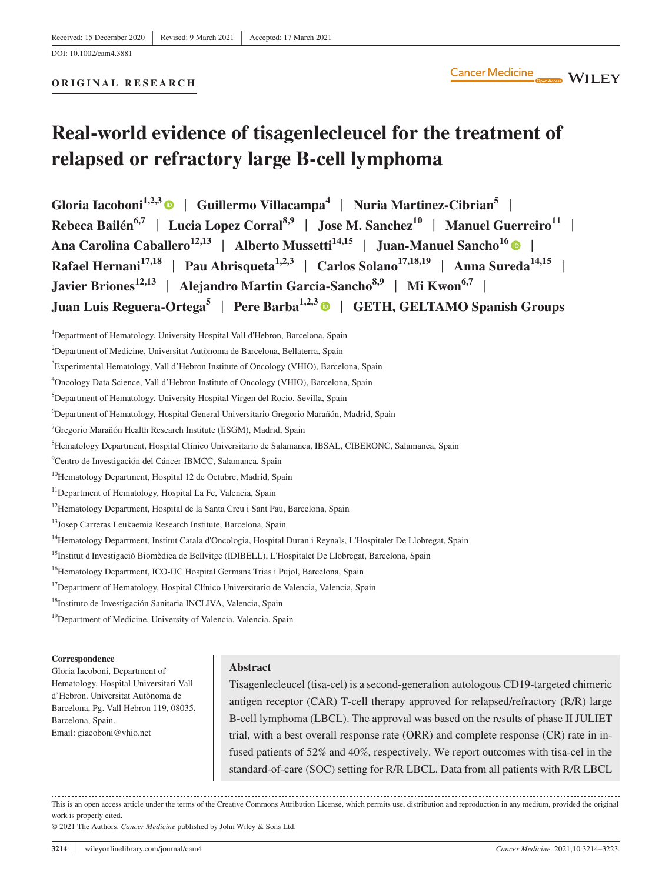# **Real-world evidence of tisagenlecleucel for the treatment of relapsed or refractory large B-cell lymphoma**

**Gloria Iacoboni1,2,3** | **Guillermo Villacampa<sup>4</sup>** | **Nuria Martinez-Cibrian5** | **Rebeca Bailén**<sup>6,7</sup> | Lucia Lopez Corral<sup>8,9</sup> | Jose M. Sanchez<sup>10</sup> | Manuel Guerreiro<sup>11</sup> | Ana Carolina Caballero<sup>12,13</sup> | Alberto Mussetti<sup>14,15</sup> | Juan-Manuel Sancho<sup>16</sup> | **|** Rafael Hernani<sup>17,18</sup> | Pau Abrisqueta<sup>1,2,3</sup> | Carlos Solano<sup>17,18,19</sup> | Anna Sureda<sup>14,15</sup> | **Javier Briones12,13** | **Alejandro Martin Garcia-Sancho8,9** | **Mi Kwon6,7** | **Juan Luis Reguera-Ortega5** | **Pere Barba1,2,[3](https://orcid.org/0000-0001-7076-7969)** | **GETH, GELTAMO Spanish Groups**

8 Hematology Department, Hospital Clínico Universitario de Salamanca, IBSAL, CIBERONC, Salamanca, Spain

- <sup>11</sup>Department of Hematology, Hospital La Fe, Valencia, Spain
- <sup>12</sup>Hematology Department, Hospital de la Santa Creu i Sant Pau, Barcelona, Spain
- <sup>13</sup>Josep Carreras Leukaemia Research Institute, Barcelona, Spain
- <sup>14</sup>Hematology Department, Institut Catala d'Oncologia, Hospital Duran i Reynals, L'Hospitalet De Llobregat, Spain
- <sup>15</sup>Institut d'Investigació Biomèdica de Bellvitge (IDIBELL), L'Hospitalet De Llobregat, Barcelona, Spain
- <sup>16</sup>Hematology Department, ICO-IJC Hospital Germans Trias i Pujol, Barcelona, Spain
- <sup>17</sup>Department of Hematology, Hospital Clínico Universitario de Valencia, Valencia, Spain
- <sup>18</sup>Instituto de Investigación Sanitaria INCLIVA, Valencia, Spain
- <sup>19</sup>Department of Medicine, University of Valencia, Valencia, Spain

#### **Correspondence**

Gloria Iacoboni, Department of Hematology, Hospital Universitari Vall d'Hebron. Universitat Autònoma de Barcelona, Pg. Vall Hebron 119, 08035. Barcelona, Spain. Email: [giacoboni@vhio.net](mailto:giacoboni@vhio.net)

# **Abstract**

Tisagenlecleucel (tisa-cel) is a second-generation autologous CD19-targeted chimeric antigen receptor (CAR) T-cell therapy approved for relapsed/refractory (R/R) large B-cell lymphoma (LBCL). The approval was based on the results of phase II JULIET trial, with a best overall response rate (ORR) and complete response (CR) rate in infused patients of 52% and 40%, respectively. We report outcomes with tisa-cel in the standard-of-care (SOC) setting for R/R LBCL. Data from all patients with R/R LBCL

This is an open access article under the terms of the [Creative Commons Attribution](http://creativecommons.org/licenses/by/4.0/) License, which permits use, distribution and reproduction in any medium, provided the original work is properly cited.

© 2021 The Authors. *Cancer Medicine* published by John Wiley & Sons Ltd.

<sup>&</sup>lt;sup>1</sup>Department of Hematology, University Hospital Vall d'Hebron, Barcelona, Spain

<sup>&</sup>lt;sup>2</sup>Department of Medicine, Universitat Autònoma de Barcelona, Bellaterra, Spain

<sup>3</sup> Experimental Hematology, Vall d'Hebron Institute of Oncology (VHIO), Barcelona, Spain

<sup>4</sup> Oncology Data Science, Vall d'Hebron Institute of Oncology (VHIO), Barcelona, Spain

<sup>5</sup> Department of Hematology, University Hospital Virgen del Rocio, Sevilla, Spain

<sup>6</sup> Department of Hematology, Hospital General Universitario Gregorio Marañón, Madrid, Spain

<sup>&</sup>lt;sup>7</sup> Gregorio Marañón Health Research Institute (IiSGM), Madrid, Spain

<sup>9</sup> Centro de Investigación del Cáncer-IBMCC, Salamanca, Spain

<sup>&</sup>lt;sup>10</sup>Hematology Department, Hospital 12 de Octubre, Madrid, Spain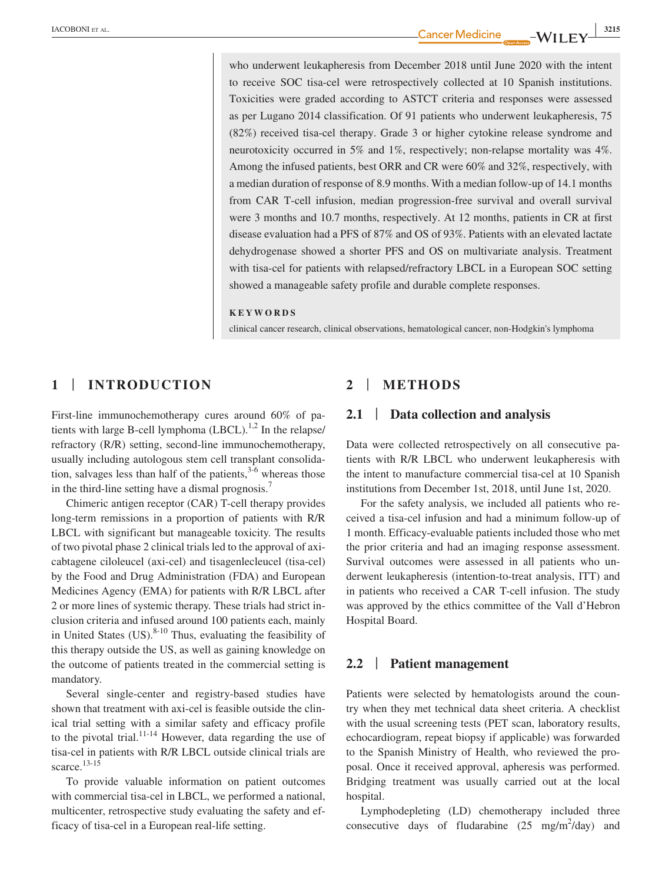who underwent leukapheresis from December 2018 until June 2020 with the intent to receive SOC tisa-cel were retrospectively collected at 10 Spanish institutions. Toxicities were graded according to ASTCT criteria and responses were assessed as per Lugano 2014 classification. Of 91 patients who underwent leukapheresis, 75 (82%) received tisa-cel therapy. Grade 3 or higher cytokine release syndrome and neurotoxicity occurred in 5% and 1%, respectively; non-relapse mortality was 4%. Among the infused patients, best ORR and CR were 60% and 32%, respectively, with a median duration of response of 8.9 months. With a median follow-up of 14.1 months from CAR T-cell infusion, median progression-free survival and overall survival were 3 months and 10.7 months, respectively. At 12 months, patients in CR at first disease evaluation had a PFS of 87% and OS of 93%. Patients with an elevated lactate dehydrogenase showed a shorter PFS and OS on multivariate analysis. Treatment with tisa-cel for patients with relapsed/refractory LBCL in a European SOC setting showed a manageable safety profile and durable complete responses.

#### **KEYWORDS**

clinical cancer research, clinical observations, hematological cancer, non-Hodgkin's lymphoma

# **1** | **INTRODUCTION**

First-line immunochemotherapy cures around 60% of patients with large B-cell lymphoma  $(LBCL)$ .<sup>1,2</sup> In the relapse/ refractory (R/R) setting, second-line immunochemotherapy, usually including autologous stem cell transplant consolidation, salvages less than half of the patients,  $3-6$  whereas those in the third-line setting have a dismal prognosis.<sup>7</sup>

Chimeric antigen receptor (CAR) T-cell therapy provides long-term remissions in a proportion of patients with R/R LBCL with significant but manageable toxicity. The results of two pivotal phase 2 clinical trials led to the approval of axicabtagene ciloleucel (axi-cel) and tisagenlecleucel (tisa-cel) by the Food and Drug Administration (FDA) and European Medicines Agency (EMA) for patients with R/R LBCL after 2 or more lines of systemic therapy. These trials had strict inclusion criteria and infused around 100 patients each, mainly in United States  $(US)^{8-10}$  Thus, evaluating the feasibility of this therapy outside the US, as well as gaining knowledge on the outcome of patients treated in the commercial setting is mandatory.

Several single-center and registry-based studies have shown that treatment with axi-cel is feasible outside the clinical trial setting with a similar safety and efficacy profile to the pivotal trial.<sup>11-14</sup> However, data regarding the use of tisa-cel in patients with R/R LBCL outside clinical trials are scarce. $13-15$ 

To provide valuable information on patient outcomes with commercial tisa-cel in LBCL, we performed a national, multicenter, retrospective study evaluating the safety and efficacy of tisa-cel in a European real-life setting.

# **2** | **METHODS**

## **2.1** | **Data collection and analysis**

Data were collected retrospectively on all consecutive patients with R/R LBCL who underwent leukapheresis with the intent to manufacture commercial tisa-cel at 10 Spanish institutions from December 1st, 2018, until June 1st, 2020.

For the safety analysis, we included all patients who received a tisa-cel infusion and had a minimum follow-up of 1 month. Efficacy-evaluable patients included those who met the prior criteria and had an imaging response assessment. Survival outcomes were assessed in all patients who underwent leukapheresis (intention-to-treat analysis, ITT) and in patients who received a CAR T-cell infusion. The study was approved by the ethics committee of the Vall d'Hebron Hospital Board.

## **2.2** | **Patient management**

Patients were selected by hematologists around the country when they met technical data sheet criteria. A checklist with the usual screening tests (PET scan, laboratory results, echocardiogram, repeat biopsy if applicable) was forwarded to the Spanish Ministry of Health, who reviewed the proposal. Once it received approval, apheresis was performed. Bridging treatment was usually carried out at the local hospital.

Lymphodepleting (LD) chemotherapy included three consecutive days of fludarabine  $(25 \text{ mg/m}^2/\text{day})$  and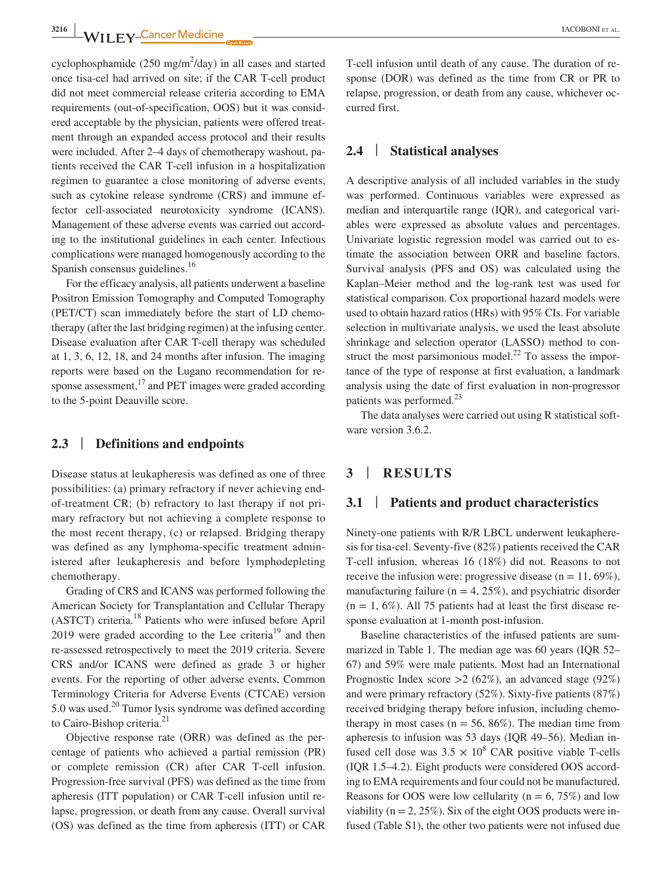**<sup>3216</sup> |** IACOBONI et al.

cyclophosphamide  $(250 \text{ mg/m}^2/\text{day})$  in all cases and started once tisa-cel had arrived on site; if the CAR T-cell product did not meet commercial release criteria according to EMA requirements (out-of-specification, OOS) but it was considered acceptable by the physician, patients were offered treatment through an expanded access protocol and their results were included. After 2–4 days of chemotherapy washout, patients received the CAR T-cell infusion in a hospitalization regimen to guarantee a close monitoring of adverse events, such as cytokine release syndrome (CRS) and immune effector cell-associated neurotoxicity syndrome (ICANS). Management of these adverse events was carried out according to the institutional guidelines in each center. Infectious complications were managed homogenously according to the Spanish consensus guidelines.<sup>16</sup>

For the efficacy analysis, all patients underwent a baseline Positron Emission Tomography and Computed Tomography (PET/CT) scan immediately before the start of LD chemotherapy (after the last bridging regimen) at the infusing center. Disease evaluation after CAR T-cell therapy was scheduled at 1, 3, 6, 12, 18, and 24 months after infusion. The imaging reports were based on the Lugano recommendation for response assessment, $17$  and PET images were graded according to the 5-point Deauville score.

# **2.3** | **Definitions and endpoints**

Disease status at leukapheresis was defined as one of three possibilities: (a) primary refractory if never achieving endof-treatment CR; (b) refractory to last therapy if not primary refractory but not achieving a complete response to the most recent therapy, (c) or relapsed. Bridging therapy was defined as any lymphoma-specific treatment administered after leukapheresis and before lymphodepleting chemotherapy.

Grading of CRS and ICANS was performed following the American Society for Transplantation and Cellular Therapy (ASTCT) criteria.18 Patients who were infused before April 2019 were graded according to the Lee criteria<sup>19</sup> and then re-assessed retrospectively to meet the 2019 criteria. Severe CRS and/or ICANS were defined as grade 3 or higher events. For the reporting of other adverse events, Common Terminology Criteria for Adverse Events (CTCAE) version 5.0 was used.<sup>20</sup> Tumor lysis syndrome was defined according to Cairo-Bishop criteria.<sup>21</sup>

Objective response rate (ORR) was defined as the percentage of patients who achieved a partial remission (PR) or complete remission (CR) after CAR T-cell infusion. Progression-free survival (PFS) was defined as the time from apheresis (ITT population) or CAR T-cell infusion until relapse, progression, or death from any cause. Overall survival (OS) was defined as the time from apheresis (ITT) or CAR T-cell infusion until death of any cause. The duration of response (DOR) was defined as the time from CR or PR to relapse, progression, or death from any cause, whichever occurred first.

## **2.4** | **Statistical analyses**

A descriptive analysis of all included variables in the study was performed. Continuous variables were expressed as median and interquartile range (IQR), and categorical variables were expressed as absolute values and percentages. Univariate logistic regression model was carried out to estimate the association between ORR and baseline factors. Survival analysis (PFS and OS) was calculated using the Kaplan–Meier method and the log-rank test was used for statistical comparison. Cox proportional hazard models were used to obtain hazard ratios (HRs) with 95% CIs. For variable selection in multivariate analysis, we used the least absolute shrinkage and selection operator (LASSO) method to construct the most parsimonious model.<sup>22</sup> To assess the importance of the type of response at first evaluation, a landmark analysis using the date of first evaluation in non-progressor patients was performed.<sup>23</sup>

The data analyses were carried out using R statistical software version 3.6.2.

# **3** | **RESULTS**

# **3.1** | **Patients and product characteristics**

Ninety-one patients with R/R LBCL underwent leukapheresis for tisa-cel. Seventy-five (82%) patients received the CAR T-cell infusion, whereas 16 (18%) did not. Reasons to not receive the infusion were: progressive disease ( $n = 11,69\%$ ), manufacturing failure ( $n = 4$ , 25%), and psychiatric disorder  $(n = 1, 6\%)$ . All 75 patients had at least the first disease response evaluation at 1-month post-infusion.

Baseline characteristics of the infused patients are summarized in Table 1. The median age was 60 years (IQR 52– 67) and 59% were male patients. Most had an International Prognostic Index score >2 (62%), an advanced stage (92%) and were primary refractory (52%). Sixty-five patients (87%) received bridging therapy before infusion, including chemotherapy in most cases ( $n = 56, 86\%$ ). The median time from apheresis to infusion was 53 days (IQR 49–56). Median infused cell dose was  $3.5 \times 10^8$  CAR positive viable T-cells (IQR 1.5–4.2). Eight products were considered OOS according to EMA requirements and four could not be manufactured. Reasons for OOS were low cellularity ( $n = 6, 75\%$ ) and low viability ( $n = 2, 25\%$ ). Six of the eight OOS products were infused (Table S1), the other two patients were not infused due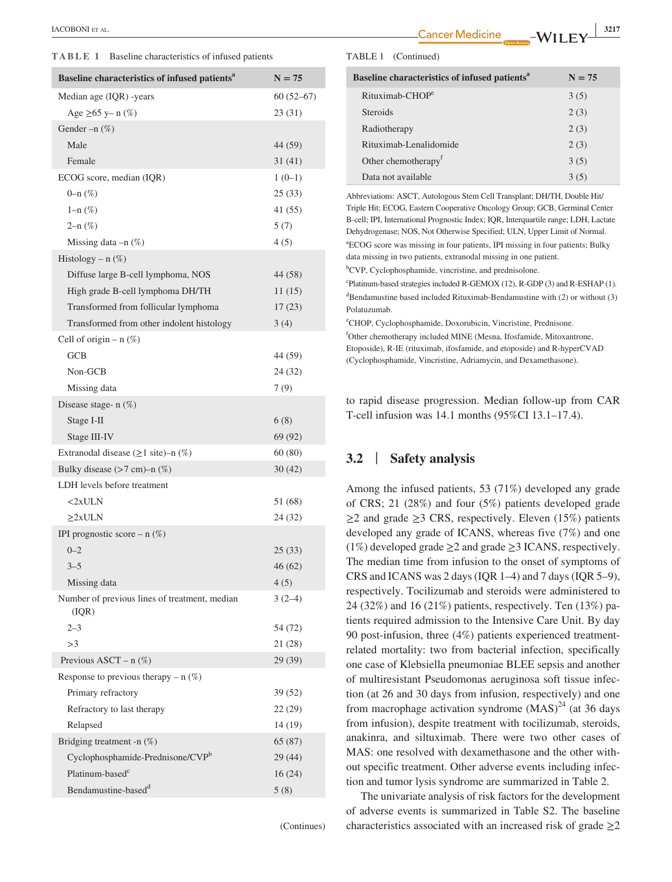**TABLE 1** Baseline characteristics of infused patients

| Baseline characteristics of infused patients <sup>a</sup> | $N = 75$    |
|-----------------------------------------------------------|-------------|
| Median age (IQR) -years                                   | $60(52-67)$ |
| Age ≥65 y– n $(\%)$                                       | 23 (31)     |
| Gender $-n$ $(\%)$                                        |             |
| Male                                                      | 44 (59)     |
| Female                                                    | 31(41)      |
| ECOG score, median (IQR)                                  | $1(0-1)$    |
| 0–n $(\%)$                                                | 25(33)      |
| $1 - n$ (%)                                               | 41 (55)     |
| $2-n$ $(\%)$                                              | 5(7)        |
| Missing data $-n$ $(\%)$                                  | 4(5)        |
| Histology – $n$ (%)                                       |             |
| Diffuse large B-cell lymphoma, NOS                        | 44 (58)     |
| High grade B-cell lymphoma DH/TH                          | 11(15)      |
| Transformed from follicular lymphoma                      | 17(23)      |
| Transformed from other indolent histology                 | 3(4)        |
| Cell of origin $- n$ (%)                                  |             |
| GCB                                                       | 44 (59)     |
| Non-GCB                                                   | 24 (32)     |
| Missing data                                              | 7(9)        |
| Disease stage- $n$ $(\%)$                                 |             |
| Stage I-II                                                | 6(8)        |
| Stage III-IV                                              | 69 (92)     |
| Extranodal disease $(\geq 1 \text{ site}) - n$ (%)        | 60 (80)     |
| Bulky disease $(>7 \text{ cm})$ -n $(\%)$                 | 30(42)      |
| LDH levels before treatment                               |             |
| $<$ 2xULN                                                 | 51 (68)     |
| $\geq$ 2xULN                                              | 24 (32)     |
| IPI prognostic score – n $(\%)$                           |             |
| $0 - 2$                                                   | 25 (33)     |
| $3 - 5$                                                   | 46 (62)     |
| Missing data                                              | 4(5)        |
| Number of previous lines of treatment, median<br>(IQR)    | $3(2-4)$    |
| $2 - 3$                                                   | 54 (72)     |
| >3                                                        | 21 (28)     |
| Previous ASCT – $n$ (%)                                   | 29 (39)     |
| Response to previous therapy – $n$ (%)                    |             |
| Primary refractory                                        | 39 (52)     |
| Refractory to last therapy                                | 22(29)      |
| Relapsed                                                  | 14 (19)     |
| Bridging treatment -n $(\%)$                              | 65 (87)     |
| Cyclophosphamide-Prednisone/CVPb                          | 29 (44)     |
| Platinum-based <sup>c</sup>                               | 16(24)      |
| Bendamustine-based <sup>d</sup>                           | 5(8)        |
|                                                           |             |

(Continues)

 **|** IACOBONI et al. **<sup>3217</sup>**

#### TABLE 1 (Continued)

| Baseline characteristics of infused patients <sup>a</sup> | $N = 75$ |
|-----------------------------------------------------------|----------|
| $Rituximab-CHOPe$                                         | 3(5)     |
| <b>Steroids</b>                                           | 2(3)     |
| Radiotherapy                                              | 2(3)     |
| Rituximab-Lenalidomide                                    | 2(3)     |
| Other chemotherapy <sup>f</sup>                           | 3(5)     |
| Data not available                                        | 3(5)     |

Abbreviations: ASCT, Autologous Stem Cell Transplant; DH/TH, Double Hit/ Triple Hit; ECOG, Eastern Cooperative Oncology Group; GCB, Germinal Center B-cell; IPI, International Prognostic Index; IQR, Interquartile range; LDH, Lactate Dehydrogenase; NOS, Not Otherwise Specified; ULN, Upper Limit of Normal. a ECOG score was missing in four patients, IPI missing in four patients; Bulky data missing in two patients, extranodal missing in one patient. <sup>b</sup>CVP, Cyclophosphamide, vincristine, and prednisolone.

c Platinum-based strategies included R-GEMOX (12), R-GDP (3) and R-ESHAP (1). d Bendamustine based included Rituximab-Bendamustine with (2) or without (3) Polatuzumab.

e CHOP, Cyclophosphamide, Doxorubicin, Vincristine, Prednisone. f Other chemotherapy included MINE (Mesna, Ifosfamide, Mitoxantrone, Etoposide), R-IE (rituximab, ifosfamide, and etoposide) and R-hyperCVAD (Cyclophosphamide, Vincristine, Adriamycin, and Dexamethasone).

to rapid disease progression. Median follow-up from CAR T-cell infusion was 14.1 months (95%CI 13.1–17.4).

# **3.2** | **Safety analysis**

Among the infused patients, 53 (71%) developed any grade of CRS; 21 (28%) and four (5%) patients developed grade  $\geq$ 2 and grade  $\geq$ 3 CRS, respectively. Eleven (15%) patients developed any grade of ICANS, whereas five (7%) and one (1%) developed grade  $\geq$  2 and grade  $\geq$  3 ICANS, respectively. The median time from infusion to the onset of symptoms of CRS and ICANS was 2 days (IQR 1–4) and 7 days (IQR 5–9), respectively. Tocilizumab and steroids were administered to 24 (32%) and 16 (21%) patients, respectively. Ten (13%) patients required admission to the Intensive Care Unit. By day 90 post-infusion, three (4%) patients experienced treatmentrelated mortality: two from bacterial infection, specifically one case of Klebsiella pneumoniae BLEE sepsis and another of multiresistant Pseudomonas aeruginosa soft tissue infection (at 26 and 30 days from infusion, respectively) and one from macrophage activation syndrome  $(MAS)^{24}$  (at 36 days from infusion), despite treatment with tocilizumab, steroids, anakinra, and siltuximab. There were two other cases of MAS: one resolved with dexamethasone and the other without specific treatment. Other adverse events including infection and tumor lysis syndrome are summarized in Table 2.

The univariate analysis of risk factors for the development of adverse events is summarized in Table S2. The baseline characteristics associated with an increased risk of grade  $\geq 2$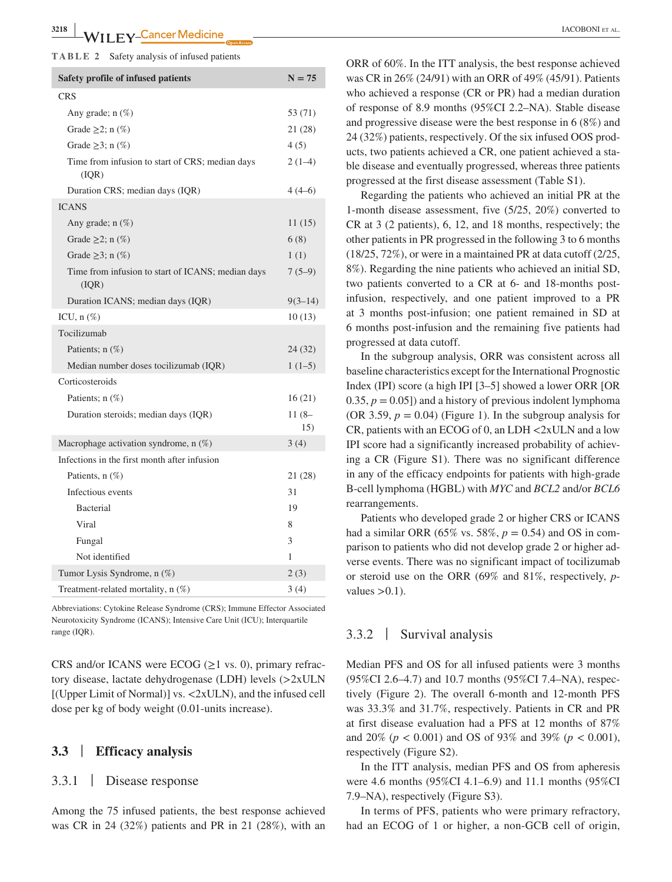#### **TABLE 2** Safety analysis of infused patients

| Safety profile of infused patients                         |                |  |  |  |  |
|------------------------------------------------------------|----------------|--|--|--|--|
| <b>CRS</b>                                                 |                |  |  |  |  |
| Any grade; $n$ $(\%)$                                      | 53 (71)        |  |  |  |  |
| Grade $\geq$ 2; n $(\%)$                                   | 21 (28)        |  |  |  |  |
| Grade $\geq$ 3; n $(\%)$                                   | 4(5)           |  |  |  |  |
| Time from infusion to start of CRS; median days<br>(IQR)   | $2(1-4)$       |  |  |  |  |
| Duration CRS; median days (IQR)                            | $4(4-6)$       |  |  |  |  |
| <b>ICANS</b>                                               |                |  |  |  |  |
| Any grade; n (%)                                           | 11(15)         |  |  |  |  |
| Grade $\geq$ 2; n $(\%)$                                   | 6(8)           |  |  |  |  |
| Grade $\geq$ 3; n $(\%)$                                   | 1(1)           |  |  |  |  |
| Time from infusion to start of ICANS; median days<br>(IQR) | $7(5-9)$       |  |  |  |  |
| Duration ICANS; median days (IQR)                          | $9(3 - 14)$    |  |  |  |  |
| ICU, $n$ $(\%)$                                            | 10(13)         |  |  |  |  |
| Tocilizumab                                                |                |  |  |  |  |
| Patients; $n$ $(\%)$                                       | 24 (32)        |  |  |  |  |
| Median number doses tocilizumab (IQR)                      | $1(1-5)$       |  |  |  |  |
| Corticosteroids                                            |                |  |  |  |  |
| Patients; $n$ $(\%)$                                       | 16(21)         |  |  |  |  |
| Duration steroids; median days (IQR)                       | $11(8-$<br>15) |  |  |  |  |
| Macrophage activation syndrome, $n$ (%)                    | 3(4)           |  |  |  |  |
| Infections in the first month after infusion               |                |  |  |  |  |
| Patients, n (%)                                            | 21 (28)        |  |  |  |  |
| Infectious events                                          | 31             |  |  |  |  |
| <b>Bacterial</b>                                           | 19             |  |  |  |  |
| Viral                                                      | 8              |  |  |  |  |
| Fungal                                                     | 3              |  |  |  |  |
| Not identified                                             | 1              |  |  |  |  |
| Tumor Lysis Syndrome, n (%)                                | 2(3)           |  |  |  |  |
| Treatment-related mortality, $n$ $(\%)$                    | 3(4)           |  |  |  |  |

Abbreviations: Cytokine Release Syndrome (CRS); Immune Effector Associated Neurotoxicity Syndrome (ICANS); Intensive Care Unit (ICU); Interquartile range (IQR).

CRS and/or ICANS were ECOG  $(\geq 1$  vs. 0), primary refractory disease, lactate dehydrogenase (LDH) levels (>2xULN [(Upper Limit of Normal)] vs. <2xULN), and the infused cell dose per kg of body weight (0.01-units increase).

# **3.3** | **Efficacy analysis**

## 3.3.1 | Disease response

Among the 75 infused patients, the best response achieved was CR in 24 (32%) patients and PR in 21 (28%), with an

ORR of 60%. In the ITT analysis, the best response achieved was CR in 26% (24/91) with an ORR of 49% (45/91). Patients who achieved a response (CR or PR) had a median duration of response of 8.9 months (95%CI 2.2–NA). Stable disease and progressive disease were the best response in 6 (8%) and 24 (32%) patients, respectively. Of the six infused OOS products, two patients achieved a CR, one patient achieved a stable disease and eventually progressed, whereas three patients progressed at the first disease assessment (Table S1).

Regarding the patients who achieved an initial PR at the 1-month disease assessment, five (5/25, 20%) converted to CR at 3 (2 patients), 6, 12, and 18 months, respectively; the other patients in PR progressed in the following 3 to 6 months (18/25, 72%), or were in a maintained PR at data cutoff (2/25, 8%). Regarding the nine patients who achieved an initial SD, two patients converted to a CR at 6- and 18-months postinfusion, respectively, and one patient improved to a PR at 3 months post-infusion; one patient remained in SD at 6 months post-infusion and the remaining five patients had progressed at data cutoff.

In the subgroup analysis, ORR was consistent across all baseline characteristics except for the International Prognostic Index (IPI) score (a high IPI [3–5] showed a lower ORR [OR 0.35,  $p = 0.05$ ]) and a history of previous indolent lymphoma (OR 3.59,  $p = 0.04$ ) (Figure 1). In the subgroup analysis for CR, patients with an ECOG of 0, an LDH <2xULN and a low IPI score had a significantly increased probability of achieving a CR (Figure S1). There was no significant difference in any of the efficacy endpoints for patients with high-grade B-cell lymphoma (HGBL) with *MYC* and *BCL2* and/or *BCL6* rearrangements.

Patients who developed grade 2 or higher CRS or ICANS had a similar ORR (65% vs. 58%,  $p = 0.54$ ) and OS in comparison to patients who did not develop grade 2 or higher adverse events. There was no significant impact of tocilizumab or steroid use on the ORR (69% and 81%, respectively, *p*values  $>0.1$ ).

## 3.3.2 | Survival analysis

Median PFS and OS for all infused patients were 3 months (95%CI 2.6–4.7) and 10.7 months (95%CI 7.4–NA), respectively (Figure 2). The overall 6-month and 12-month PFS was 33.3% and 31.7%, respectively. Patients in CR and PR at first disease evaluation had a PFS at 12 months of 87% and 20% (*p* < 0.001) and OS of 93% and 39% (*p* < 0.001), respectively (Figure S2).

In the ITT analysis, median PFS and OS from apheresis were 4.6 months (95%CI 4.1–6.9) and 11.1 months (95%CI 7.9–NA), respectively (Figure S3).

In terms of PFS, patients who were primary refractory, had an ECOG of 1 or higher, a non-GCB cell of origin,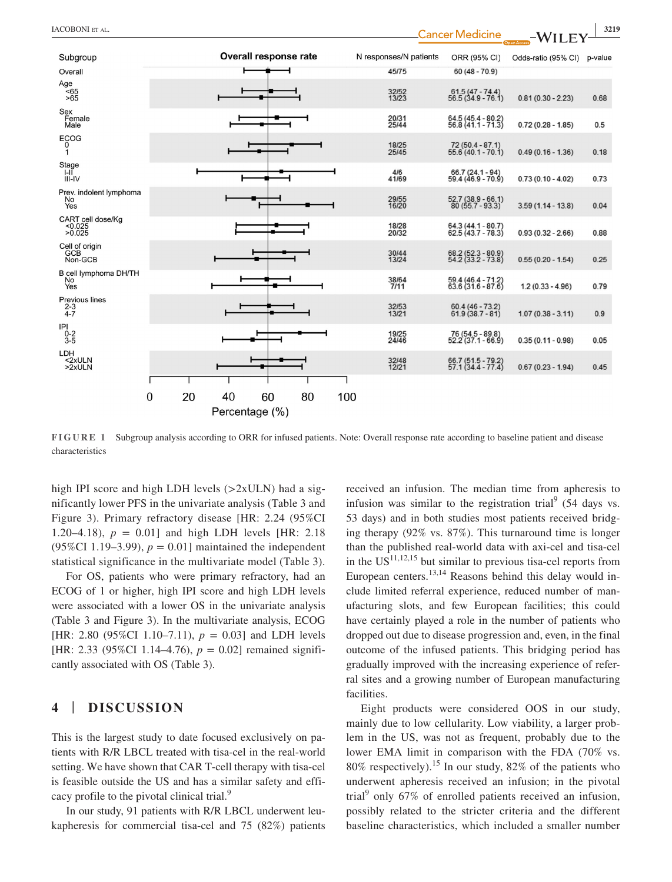| IACOBONI ET AL.                        |   |    |    |                              |    |     |                        | <b>Cancer Medicine</b>                     | $-WILE$             | 3219    |
|----------------------------------------|---|----|----|------------------------------|----|-----|------------------------|--------------------------------------------|---------------------|---------|
| Subgroup                               |   |    |    | <b>Overall response rate</b> |    |     | N responses/N patients | ORR (95% CI)                               | Odds-ratio (95% CI) | p-value |
| Overall                                |   |    |    |                              |    |     | 45/75                  | $60(48 - 70.9)$                            |                     |         |
| Age<br>$565$<br>$>65$                  |   |    |    |                              |    |     | 32/52<br>13/23         | 61.5 (47 - 74.4)<br>56.5 (34.9 - 76.1)     | $0.81(0.30 - 2.23)$ | 0.68    |
| Sex<br>Female<br>Male                  |   |    |    |                              |    |     | 20/31<br>25/44         | 64.5 (45.4 - 80.2)<br>56.8 (41.1 - 71.3)   | $0.72(0.28 - 1.85)$ | 0.5     |
| <b>ECOG</b><br>$\Omega$<br>1           |   |    |    |                              |    |     | 18/25<br>25/45         | $72(50.4 - 87.1)$<br>$55.6(40.1 - 70.1)$   | $0.49(0.16 - 1.36)$ | 0.18    |
| Stage<br>$I-I\check{I}$<br>$III$ -IV   |   |    |    |                              |    |     | 4/6<br>41/69           | 66.7 (24.1 - 94)<br>59.4 (46.9 - 70.9)     | $0.73(0.10 - 4.02)$ | 0.73    |
| Prev. indolent lymphoma<br>No<br>Yes   |   |    |    |                              |    |     | 29/55<br>16/20         | 52.7 (38.9 - 66.1)<br>80 (55.7 - 93.3)     | $3.59(1.14 - 13.8)$ | 0.04    |
| CART cell dose/Kg<br>< 0.025<br>>0.025 |   |    |    |                              |    |     | 18/28<br>20/32         | $64.3(44.1 - 80.7)$<br>$62.5(43.7 - 78.3)$ | $0.93(0.32 - 2.66)$ | 0.88    |
| Cell of origin<br>GCB<br>Non-GCB       |   |    |    |                              |    |     | 30/44<br>13/24         | 68.2 (52.3 - 80.9)<br>54.2 (33.2 - 73.8)   | $0.55(0.20 - 1.54)$ | 0.25    |
| B cell lymphoma DH/TH<br>No<br>Yes     |   |    |    |                              |    |     | 38/64<br>7/11          | 59.4 (46.4 - 71.2)<br>63.6 (31.6 - 87.6)   | $1.2(0.33 - 4.96)$  | 0.79    |
| Previous lines<br>$2 - 3$<br>$4 - 7$   |   |    |    |                              |    |     | 32/53<br>13/21         | $60.4(46 - 73.2)$<br>$61.9(38.7 - 81)$     | $1.07(0.38 - 3.11)$ | 0.9     |
| IPI<br>$0 - 2$<br>3-5                  |   |    |    |                              |    |     | 19/25<br>24/46         | 76 (54.5 - 89.8)<br>52.2 (37.1 - 66.9)     | $0.35(0.11 - 0.98)$ | 0.05    |
| LDH<br>$<$ 2xULN<br>>2xULN             |   |    |    |                              |    |     | 32/48<br>12/21         | 66.7 (51.5 - 79.2)<br>57.1 (34.4 - 77.4)   | $0.67(0.23 - 1.94)$ | 0.45    |
|                                        |   |    |    |                              |    |     |                        |                                            |                     |         |
|                                        | 0 | 20 | 40 | 60                           | 80 | 100 |                        |                                            |                     |         |
|                                        |   |    |    | Percentage (%)               |    |     |                        |                                            |                     |         |

**FIGURE 1** Subgroup analysis according to ORR for infused patients. Note: Overall response rate according to baseline patient and disease characteristics

high IPI score and high LDH levels  $(>2xULN)$  had a significantly lower PFS in the univariate analysis (Table 3 and Figure 3). Primary refractory disease [HR: 2.24 (95%CI 1.20–4.18),  $p = 0.01$  and high LDH levels [HR: 2.18] (95%CI 1.19–3.99),  $p = 0.01$ ] maintained the independent statistical significance in the multivariate model (Table 3).

For OS, patients who were primary refractory, had an ECOG of 1 or higher, high IPI score and high LDH levels were associated with a lower OS in the univariate analysis (Table 3 and Figure 3). In the multivariate analysis, ECOG [HR: 2.80 (95%CI 1.10–7.11),  $p = 0.03$ ] and LDH levels [HR: 2.33 (95%CI 1.14–4.76),  $p = 0.02$ ] remained significantly associated with OS (Table 3).

# **4** | **DISCUSSION**

This is the largest study to date focused exclusively on patients with R/R LBCL treated with tisa-cel in the real-world setting. We have shown that CAR T-cell therapy with tisa-cel is feasible outside the US and has a similar safety and efficacy profile to the pivotal clinical trial.<sup>9</sup>

In our study, 91 patients with R/R LBCL underwent leukapheresis for commercial tisa-cel and 75 (82%) patients

received an infusion. The median time from apheresis to infusion was similar to the registration trial  $(54 \text{ days vs.})$ 53 days) and in both studies most patients received bridging therapy (92% vs. 87%). This turnaround time is longer than the published real-world data with axi-cel and tisa-cel in the  $US^{11,12,15}$  but similar to previous tisa-cel reports from European centers.<sup>13,14</sup> Reasons behind this delay would include limited referral experience, reduced number of manufacturing slots, and few European facilities; this could have certainly played a role in the number of patients who dropped out due to disease progression and, even, in the final outcome of the infused patients. This bridging period has gradually improved with the increasing experience of referral sites and a growing number of European manufacturing facilities.

Eight products were considered OOS in our study, mainly due to low cellularity. Low viability, a larger problem in the US, was not as frequent, probably due to the lower EMA limit in comparison with the FDA (70% vs. 80% respectively).<sup>15</sup> In our study, 82% of the patients who underwent apheresis received an infusion; in the pivotal trial<sup>9</sup> only 67% of enrolled patients received an infusion, possibly related to the stricter criteria and the different baseline characteristics, which included a smaller number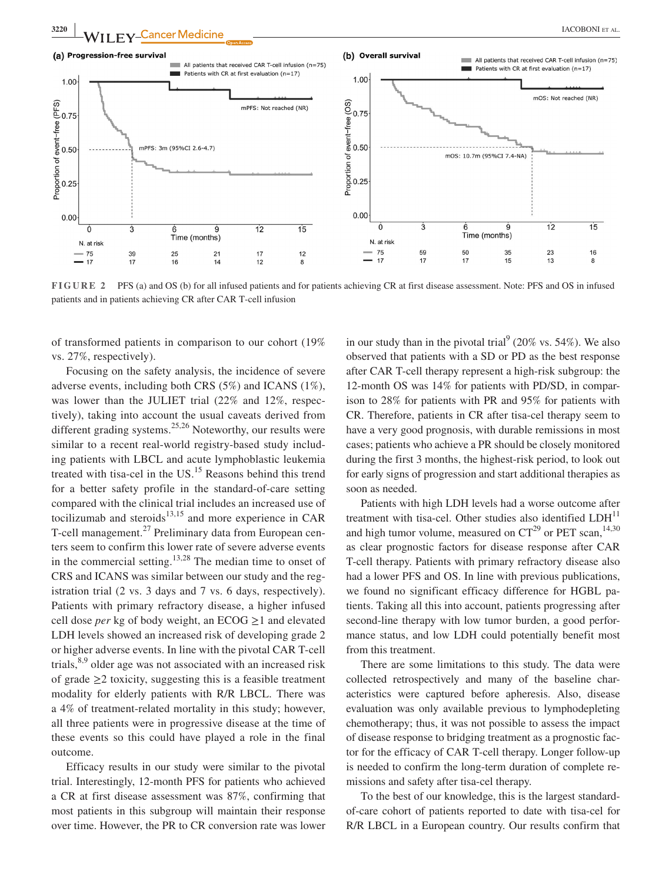

**FIGURE 2** PFS (a) and OS (b) for all infused patients and for patients achieving CR at first disease assessment. Note: PFS and OS in infused patients and in patients achieving CR after CAR T-cell infusion

of transformed patients in comparison to our cohort (19% vs. 27%, respectively).

Focusing on the safety analysis, the incidence of severe adverse events, including both CRS (5%) and ICANS (1%), was lower than the JULIET trial (22% and 12%, respectively), taking into account the usual caveats derived from different grading systems.<sup>25,26</sup> Noteworthy, our results were similar to a recent real-world registry-based study including patients with LBCL and acute lymphoblastic leukemia treated with tisa-cel in the US.<sup>15</sup> Reasons behind this trend for a better safety profile in the standard-of-care setting compared with the clinical trial includes an increased use of tocilizumab and steroids $13,15$  and more experience in CAR T-cell management.<sup>27</sup> Preliminary data from European centers seem to confirm this lower rate of severe adverse events in the commercial setting.<sup>13,28</sup> The median time to onset of CRS and ICANS was similar between our study and the registration trial (2 vs. 3 days and 7 vs. 6 days, respectively). Patients with primary refractory disease, a higher infused cell dose *per* kg of body weight, an ECOG ≥1 and elevated LDH levels showed an increased risk of developing grade 2 or higher adverse events. In line with the pivotal CAR T-cell trials,  $8,9$  older age was not associated with an increased risk of grade  $\geq$  2 toxicity, suggesting this is a feasible treatment modality for elderly patients with R/R LBCL. There was a 4% of treatment-related mortality in this study; however, all three patients were in progressive disease at the time of these events so this could have played a role in the final outcome.

Efficacy results in our study were similar to the pivotal trial. Interestingly, 12-month PFS for patients who achieved a CR at first disease assessment was 87%, confirming that most patients in this subgroup will maintain their response over time. However, the PR to CR conversion rate was lower

in our study than in the pivotal trial<sup>9</sup> (20% vs. 54%). We also observed that patients with a SD or PD as the best response after CAR T-cell therapy represent a high-risk subgroup: the 12-month OS was 14% for patients with PD/SD, in comparison to 28% for patients with PR and 95% for patients with CR. Therefore, patients in CR after tisa-cel therapy seem to have a very good prognosis, with durable remissions in most cases; patients who achieve a PR should be closely monitored during the first 3 months, the highest-risk period, to look out for early signs of progression and start additional therapies as soon as needed.

Patients with high LDH levels had a worse outcome after treatment with tisa-cel. Other studies also identified  $LDH<sup>11</sup>$ and high tumor volume, measured on  $CT^{29}$  or PET scan,<sup>14,30</sup> as clear prognostic factors for disease response after CAR T-cell therapy. Patients with primary refractory disease also had a lower PFS and OS. In line with previous publications, we found no significant efficacy difference for HGBL patients. Taking all this into account, patients progressing after second-line therapy with low tumor burden, a good performance status, and low LDH could potentially benefit most from this treatment.

There are some limitations to this study. The data were collected retrospectively and many of the baseline characteristics were captured before apheresis. Also, disease evaluation was only available previous to lymphodepleting chemotherapy; thus, it was not possible to assess the impact of disease response to bridging treatment as a prognostic factor for the efficacy of CAR T-cell therapy. Longer follow-up is needed to confirm the long-term duration of complete remissions and safety after tisa-cel therapy.

To the best of our knowledge, this is the largest standardof-care cohort of patients reported to date with tisa-cel for R/R LBCL in a European country. Our results confirm that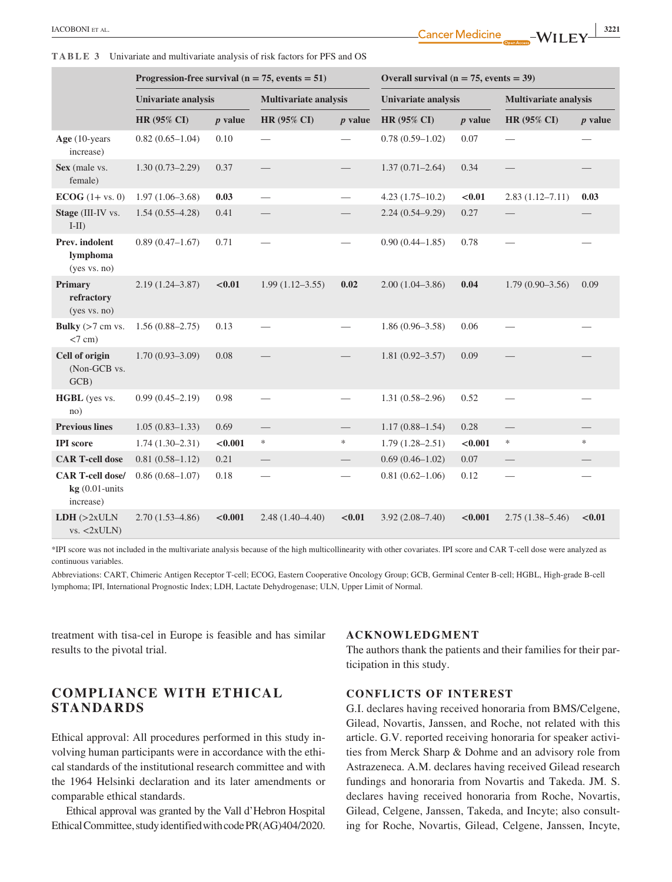**TABLE 3** Univariate and multivariate analysis of risk factors for PFS and OS

|                                                          | Progression-free survival ( $n = 75$ , events = 51) |           |                          | Overall survival ( $n = 75$ , events = 39) |                     |           |                                |                          |
|----------------------------------------------------------|-----------------------------------------------------|-----------|--------------------------|--------------------------------------------|---------------------|-----------|--------------------------------|--------------------------|
|                                                          | Univariate analysis                                 |           | Multivariate analysis    |                                            | Univariate analysis |           | <b>Multivariate analysis</b>   |                          |
|                                                          | <b>HR (95% CI)</b>                                  | $p$ value | HR (95% CI)              | $p$ value                                  | <b>HR (95% CI)</b>  | $p$ value | HR (95% CI)                    | $p$ value                |
| Age $(10$ -years<br>increase)                            | $0.82(0.65-1.04)$                                   | 0.10      |                          |                                            | $0.78(0.59-1.02)$   | 0.07      | -                              |                          |
| Sex (male vs.<br>female)                                 | $1.30(0.73 - 2.29)$                                 | 0.37      |                          |                                            | $1.37(0.71 - 2.64)$ | 0.34      | $\overline{\phantom{0}}$       |                          |
| $ECOG$ (1+ vs. 0)                                        | $1.97(1.06 - 3.68)$                                 | 0.03      | $\overline{\phantom{0}}$ | $\overline{\phantom{0}}$                   | $4.23(1.75-10.2)$   | < 0.01    | $2.83(1.12 - 7.11)$            | 0.03                     |
| Stage (III-IV vs.<br>$I-II$ )                            | $1.54(0.55 - 4.28)$                                 | 0.41      |                          |                                            | $2.24(0.54 - 9.29)$ | 0.27      |                                |                          |
| Prev. indolent<br>lymphoma<br>(yes vs. no)               | $0.89(0.47-1.67)$                                   | 0.71      | $\qquad \qquad$          |                                            | $0.90(0.44 - 1.85)$ | 0.78      | $\overline{\phantom{0}}$       | $\overline{\phantom{0}}$ |
| Primary<br>refractory<br>(yes vs. no)                    | $2.19(1.24 - 3.87)$                                 | < 0.01    | $1.99(1.12 - 3.55)$      | 0.02                                       | $2.00(1.04 - 3.86)$ | 0.04      | $1.79(0.90 - 3.56)$            | 0.09                     |
| Bulky $(>7 \text{ cm vs.})$<br>$<7$ cm)                  | $1.56(0.88 - 2.75)$                                 | 0.13      |                          |                                            | $1.86(0.96 - 3.58)$ | 0.06      |                                |                          |
| Cell of origin<br>(Non-GCB vs.<br>GCB)                   | $1.70(0.93 - 3.09)$                                 | 0.08      |                          |                                            | $1.81(0.92 - 3.57)$ | 0.09      |                                |                          |
| HGBL (yes vs.<br>no)                                     | $0.99(0.45 - 2.19)$                                 | 0.98      |                          |                                            | $1.31(0.58 - 2.96)$ | 0.52      |                                |                          |
| <b>Previous lines</b>                                    | $1.05(0.83 - 1.33)$                                 | 0.69      | $\overline{\phantom{0}}$ |                                            | $1.17(0.88 - 1.54)$ | 0.28      |                                |                          |
| <b>IPI</b> score                                         | $1.74(1.30-2.31)$                                   | < 0.001   | $\ast$                   | *                                          | $1.79(1.28 - 2.51)$ | < 0.001   | ∗                              | $\ast$                   |
| <b>CAR T-cell dose</b>                                   | $0.81(0.58-1.12)$                                   | 0.21      | $\overline{\phantom{0}}$ |                                            | $0.69(0.46 - 1.02)$ | 0.07      | $\overline{\phantom{0}}$       |                          |
| <b>CAR T-cell dose/</b><br>$kg(0.01-units)$<br>increase) | $0.86(0.68 - 1.07)$                                 | 0.18      | $\overline{\phantom{0}}$ |                                            | $0.81(0.62 - 1.06)$ | 0.12      | $\overbrace{\phantom{123321}}$ |                          |
| LDH (>2xULN<br>vs. < 2xULN                               | $2.70(1.53 - 4.86)$                                 | < 0.001   | $2.48(1.40-4.40)$        | < 0.01                                     | $3.92(2.08 - 7.40)$ | < 0.001   | $2.75(1.38 - 5.46)$            | < 0.01                   |

\*IPI score was not included in the multivariate analysis because of the high multicollinearity with other covariates. IPI score and CAR T-cell dose were analyzed as continuous variables.

Abbreviations: CART, Chimeric Antigen Receptor T-cell; ECOG, Eastern Cooperative Oncology Group; GCB, Germinal Center B-cell; HGBL, High-grade B-cell lymphoma; IPI, International Prognostic Index; LDH, Lactate Dehydrogenase; ULN, Upper Limit of Normal.

treatment with tisa-cel in Europe is feasible and has similar results to the pivotal trial.

# **COMPLIANCE WITH ETHICAL STANDARDS**

Ethical approval: All procedures performed in this study involving human participants were in accordance with the ethical standards of the institutional research committee and with the 1964 Helsinki declaration and its later amendments or comparable ethical standards.

Ethical approval was granted by the Vall d'Hebron Hospital Ethical Committee, study identified with code PR(AG)404/2020.

#### **ACKNOWLEDGMENT**

The authors thank the patients and their families for their participation in this study.

#### **CONFLICTS OF INTEREST**

G.I. declares having received honoraria from BMS/Celgene, Gilead, Novartis, Janssen, and Roche, not related with this article. G.V. reported receiving honoraria for speaker activities from Merck Sharp & Dohme and an advisory role from Astrazeneca. A.M. declares having received Gilead research fundings and honoraria from Novartis and Takeda. JM. S. declares having received honoraria from Roche, Novartis, Gilead, Celgene, Janssen, Takeda, and Incyte; also consulting for Roche, Novartis, Gilead, Celgene, Janssen, Incyte,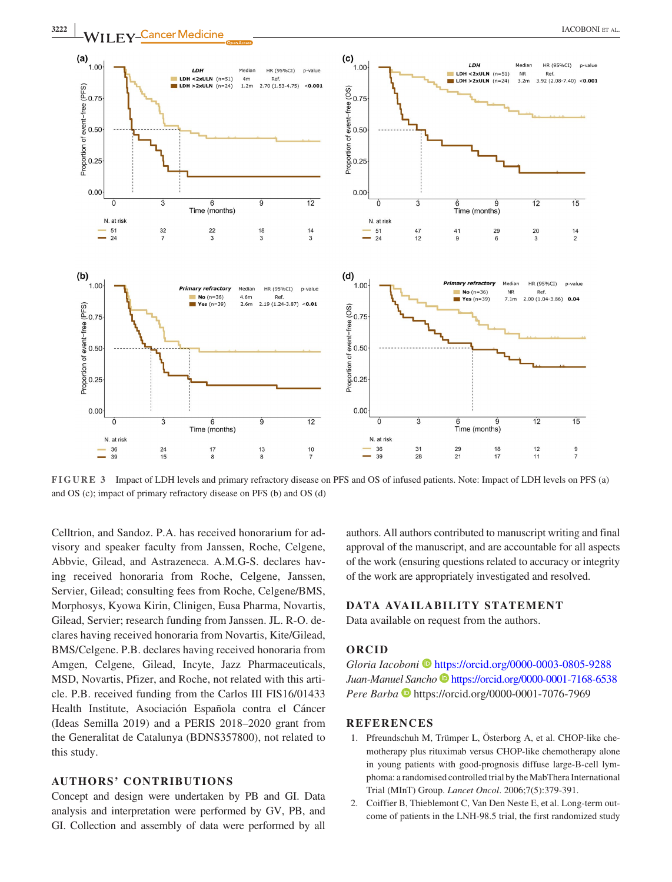

**FIGURE 3** Impact of LDH levels and primary refractory disease on PFS and OS of infused patients. Note: Impact of LDH levels on PFS (a) and OS (c); impact of primary refractory disease on PFS (b) and OS (d)

Celltrion, and Sandoz. P.A. has received honorarium for advisory and speaker faculty from Janssen, Roche, Celgene, Abbvie, Gilead, and Astrazeneca. A.M.G-S. declares having received honoraria from Roche, Celgene, Janssen, Servier, Gilead; consulting fees from Roche, Celgene/BMS, Morphosys, Kyowa Kirin, Clinigen, Eusa Pharma, Novartis, Gilead, Servier; research funding from Janssen. JL. R-O. declares having received honoraria from Novartis, Kite/Gilead, BMS/Celgene. P.B. declares having received honoraria from Amgen, Celgene, Gilead, Incyte, Jazz Pharmaceuticals, MSD, Novartis, Pfizer, and Roche, not related with this article. P.B. received funding from the Carlos III FIS16/01433 Health Institute, Asociación Española contra el Cáncer (Ideas Semilla 2019) and a PERIS 2018–2020 grant from the Generalitat de Catalunya (BDNS357800), not related to this study.

## **AUTHORS' CONTRIBUTIONS**

Concept and design were undertaken by PB and GI. Data analysis and interpretation were performed by GV, PB, and GI. Collection and assembly of data were performed by all

authors. All authors contributed to manuscript writing and final approval of the manuscript, and are accountable for all aspects of the work (ensuring questions related to accuracy or integrity of the work are appropriately investigated and resolved.

## **DATA AVAILABILITY STATEMENT**

Data available on request from the authors.

## **ORCID**

*Gloria Iacoboni* • <https://orcid.org/0000-0003-0805-9288> *Juan-Manuel Sancho* <https://orcid.org/0000-0001-7168-6538> *PereBarba* **b** https://orcid.org/0000-0001-7076-7969

## **REFERENCES**

- 1. Pfreundschuh M, Trümper L, Österborg A, et al. CHOP-like chemotherapy plus rituximab versus CHOP-like chemotherapy alone in young patients with good-prognosis diffuse large-B-cell lymphoma: a randomised controlled trial by the MabThera International Trial (MInT) Group. *Lancet Oncol*. 2006;7(5):379-391.
- 2. Coiffier B, Thieblemont C, Van Den Neste E, et al. Long-term outcome of patients in the LNH-98.5 trial, the first randomized study